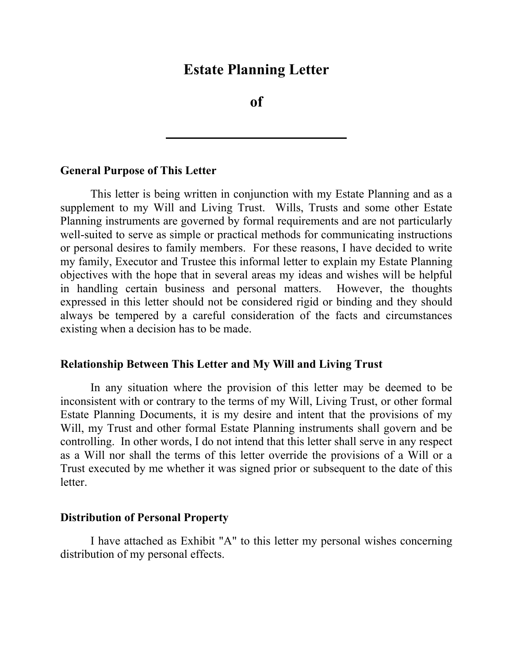## **Estate Planning Letter**

**of** 

#### **General Purpose of This Letter**

This letter is being written in conjunction with my Estate Planning and as a supplement to my Will and Living Trust. Wills, Trusts and some other Estate Planning instruments are governed by formal requirements and are not particularly well-suited to serve as simple or practical methods for communicating instructions or personal desires to family members. For these reasons, I have decided to write my family, Executor and Trustee this informal letter to explain my Estate Planning objectives with the hope that in several areas my ideas and wishes will be helpful in handling certain business and personal matters. However, the thoughts expressed in this letter should not be considered rigid or binding and they should always be tempered by a careful consideration of the facts and circumstances existing when a decision has to be made.

### **Relationship Between This Letter and My Will and Living Trust**

In any situation where the provision of this letter may be deemed to be inconsistent with or contrary to the terms of my Will, Living Trust, or other formal Estate Planning Documents, it is my desire and intent that the provisions of my Will, my Trust and other formal Estate Planning instruments shall govern and be controlling. In other words, I do not intend that this letter shall serve in any respect as a Will nor shall the terms of this letter override the provisions of a Will or a Trust executed by me whether it was signed prior or subsequent to the date of this letter.

### **Distribution of Personal Property**

I have attached as Exhibit "A" to this letter my personal wishes concerning distribution of my personal effects.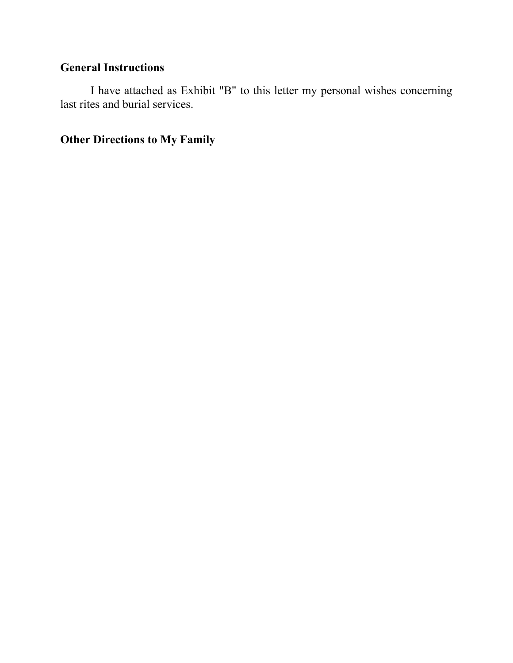## **General Instructions**

I have attached as Exhibit "B" to this letter my personal wishes concerning last rites and burial services.

**Other Directions to My Family**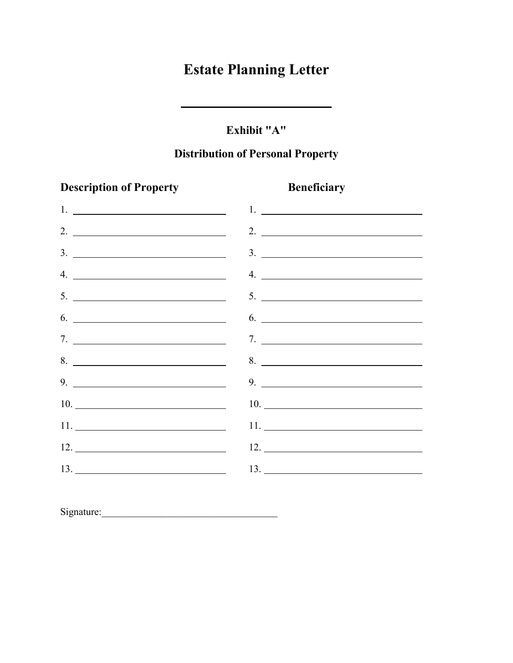# **Estate Planning Letter**

### **Exhibit "A"**

### **Distribution of Personal Property**

# **Description of Property Beneficiary** 1. 1. 2. 2. 3. 3. 4. 4. 5. 5.  $6.$  6. 7. 7. 8. 2010 10:00 10:00 10:00 10:00 10:00 10:00 10:00 10:00 10:00 10:00 10:00 10:00 10:00 10:00 10:00 10:00 10:00 10:00 10:00 10:00 10:00 10:00 10:00 10:00 10:00 10:00 10:00 10:00 10:00 10:00 10:00 10:00 10:00 10:00 10:00 10:00 9. 9. 10. 10. 10. 11. 11. 12. 12. 13. 13.

Signature:\_\_\_\_\_\_\_\_\_\_\_\_\_\_\_\_\_\_\_\_\_\_\_\_\_\_\_\_\_\_\_\_\_\_\_